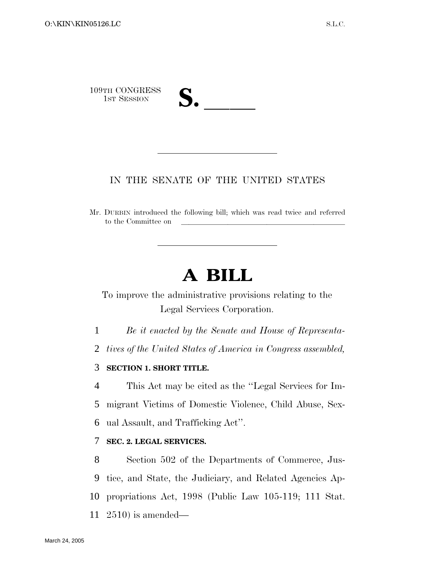

## IN THE SENATE OF THE UNITED STATES

Mr. DURBIN introduced the following bill; which was read twice and referred to the Committee on

## **A BILL**

To improve the administrative provisions relating to the Legal Services Corporation.

1 *Be it enacted by the Senate and House of Representa-*

2 *tives of the United States of America in Congress assembled,*

## 3 **SECTION 1. SHORT TITLE.**

4 This Act may be cited as the ''Legal Services for Im-5 migrant Victims of Domestic Violence, Child Abuse, Sex-6 ual Assault, and Trafficking Act''.

## 7 **SEC. 2. LEGAL SERVICES.**

 Section 502 of the Departments of Commerce, Jus- tice, and State, the Judiciary, and Related Agencies Ap- propriations Act, 1998 (Public Law 105-119; 111 Stat. 2510) is amended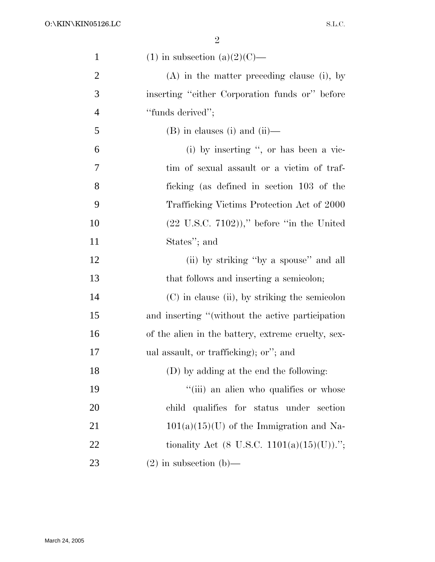| $\mathbf{1}$   | $(1)$ in subsection $(a)(2)(C)$ —                     |
|----------------|-------------------------------------------------------|
| $\overline{2}$ | $(A)$ in the matter preceding clause (i), by          |
| 3              | inserting "either Corporation funds or" before        |
| $\overline{4}$ | "funds derived";                                      |
| 5              | $(B)$ in clauses (i) and (ii)—                        |
| 6              | (i) by inserting ", or has been a vic-                |
| 7              | tim of sexual assault or a victim of traf-            |
| 8              | ficking (as defined in section 103 of the             |
| 9              | Trafficking Victims Protection Act of 2000            |
| 10             | $(22 \text{ U.S.C. } 7102)$ ," before "in the United" |
| 11             | States"; and                                          |
| 12             | (ii) by striking "by a spouse" and all                |
| 13             | that follows and inserting a semicolon;               |
| 14             | (C) in clause (ii), by striking the semicolon         |
| 15             | and inserting "(without the active participation      |
| 16             | of the alien in the battery, extreme cruelty, sex-    |
| 17             | ual assault, or trafficking); or"; and                |
| 18             | (D) by adding at the end the following:               |
| 19             | "(iii) an alien who qualifies or whose                |
| 20             | child qualifies for status under section              |
| 21             | $101(a)(15)(U)$ of the Immigration and Na-            |
| 22             | tionality Act (8 U.S.C. 1101(a)(15)(U)).";            |
| 23             | $(2)$ in subsection $(b)$ —                           |